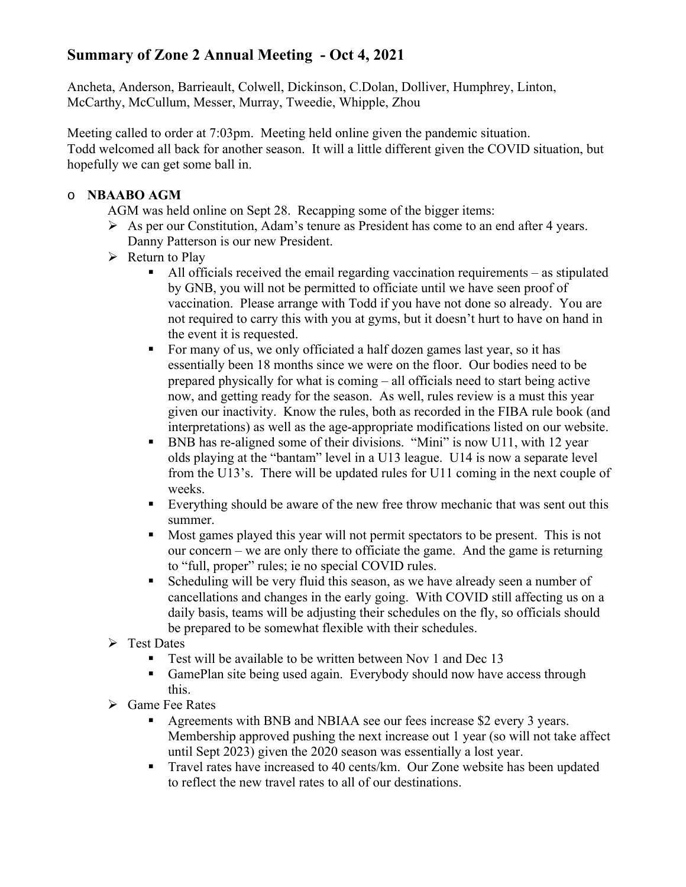## **Summary of Zone 2 Annual Meeting - Oct 4, 2021**

Ancheta, Anderson, Barrieault, Colwell, Dickinson, C.Dolan, Dolliver, Humphrey, Linton, McCarthy, McCullum, Messer, Murray, Tweedie, Whipple, Zhou

Meeting called to order at 7:03pm. Meeting held online given the pandemic situation. Todd welcomed all back for another season. It will a little different given the COVID situation, but hopefully we can get some ball in.

## o **NBAABO AGM**

AGM was held online on Sept 28. Recapping some of the bigger items:

- As per our Constitution, Adam's tenure as President has come to an end after 4 years. Danny Patterson is our new President.
- $\triangleright$  Return to Play
	- All officials received the email regarding vaccination requirements as stipulated by GNB, you will not be permitted to officiate until we have seen proof of vaccination. Please arrange with Todd if you have not done so already. You are not required to carry this with you at gyms, but it doesn't hurt to have on hand in the event it is requested.
	- For many of us, we only officiated a half dozen games last year, so it has essentially been 18 months since we were on the floor. Our bodies need to be prepared physically for what is coming – all officials need to start being active now, and getting ready for the season. As well, rules review is a must this year given our inactivity. Know the rules, both as recorded in the FIBA rule book (and interpretations) as well as the age-appropriate modifications listed on our website.
	- BNB has re-aligned some of their divisions. "Mini" is now U11, with 12 year olds playing at the "bantam" level in a U13 league. U14 is now a separate level from the U13's. There will be updated rules for U11 coming in the next couple of weeks.
	- Everything should be aware of the new free throw mechanic that was sent out this summer.
	- Most games played this year will not permit spectators to be present. This is not our concern – we are only there to officiate the game. And the game is returning to "full, proper" rules; ie no special COVID rules.
	- Scheduling will be very fluid this season, as we have already seen a number of cancellations and changes in the early going. With COVID still affecting us on a daily basis, teams will be adjusting their schedules on the fly, so officials should be prepared to be somewhat flexible with their schedules.
- $\triangleright$  Test Dates
	- Test will be available to be written between Nov 1 and Dec 13
	- GamePlan site being used again. Everybody should now have access through this.
- Game Fee Rates
	- Agreements with BNB and NBIAA see our fees increase \$2 every 3 years. Membership approved pushing the next increase out 1 year (so will not take affect until Sept 2023) given the 2020 season was essentially a lost year.
	- Travel rates have increased to 40 cents/km. Our Zone website has been updated to reflect the new travel rates to all of our destinations.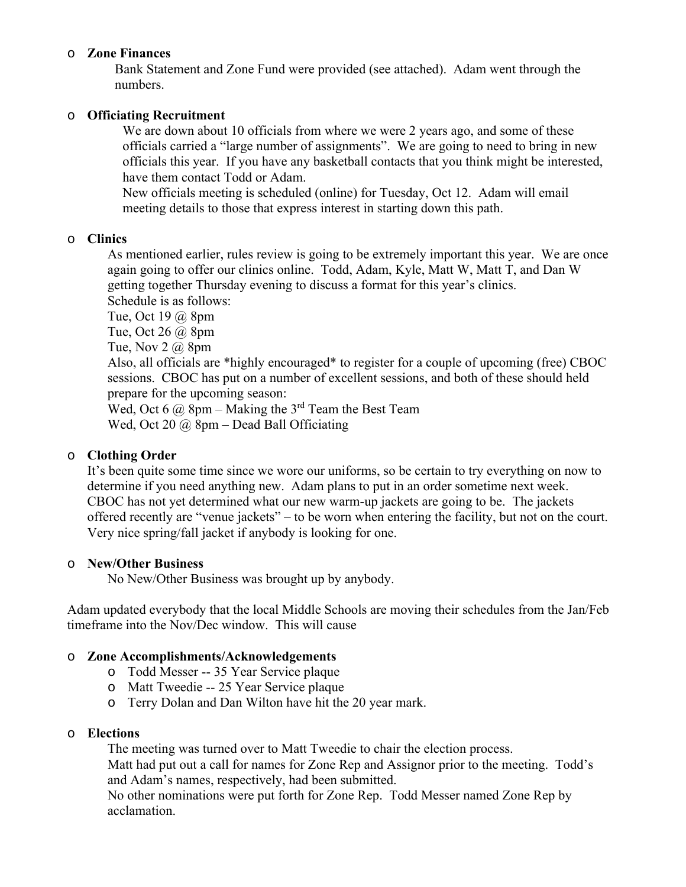### o **Zone Finances**

Bank Statement and Zone Fund were provided (see attached). Adam went through the numbers.

### o **Officiating Recruitment**

We are down about 10 officials from where we were 2 years ago, and some of these officials carried a "large number of assignments". We are going to need to bring in new officials this year. If you have any basketball contacts that you think might be interested, have them contact Todd or Adam.

New officials meeting is scheduled (online) for Tuesday, Oct 12. Adam will email meeting details to those that express interest in starting down this path.

#### o **Clinics**

As mentioned earlier, rules review is going to be extremely important this year. We are once again going to offer our clinics online. Todd, Adam, Kyle, Matt W, Matt T, and Dan W getting together Thursday evening to discuss a format for this year's clinics. Schedule is as follows:

Tue, Oct 19 @ 8pm

Tue, Oct 26 @ 8pm

Tue, Nov  $2 \omega$  8pm

Also, all officials are \*highly encouraged\* to register for a couple of upcoming (free) CBOC sessions. CBOC has put on a number of excellent sessions, and both of these should held prepare for the upcoming season:

Wed, Oct 6  $\omega$  8pm – Making the 3<sup>rd</sup> Team the Best Team Wed, Oct 20  $\omega$  8pm – Dead Ball Officiating

## o **Clothing Order**

It's been quite some time since we wore our uniforms, so be certain to try everything on now to determine if you need anything new. Adam plans to put in an order sometime next week. CBOC has not yet determined what our new warm-up jackets are going to be. The jackets offered recently are "venue jackets" – to be worn when entering the facility, but not on the court. Very nice spring/fall jacket if anybody is looking for one.

#### o **New/Other Business**

No New/Other Business was brought up by anybody.

Adam updated everybody that the local Middle Schools are moving their schedules from the Jan/Feb timeframe into the Nov/Dec window. This will cause

## o **Zone Accomplishments/Acknowledgements**

- o Todd Messer -- 35 Year Service plaque
- o Matt Tweedie -- 25 Year Service plaque
- o Terry Dolan and Dan Wilton have hit the 20 year mark.

### o **Elections**

The meeting was turned over to Matt Tweedie to chair the election process. Matt had put out a call for names for Zone Rep and Assignor prior to the meeting. Todd's and Adam's names, respectively, had been submitted.

No other nominations were put forth for Zone Rep. Todd Messer named Zone Rep by acclamation.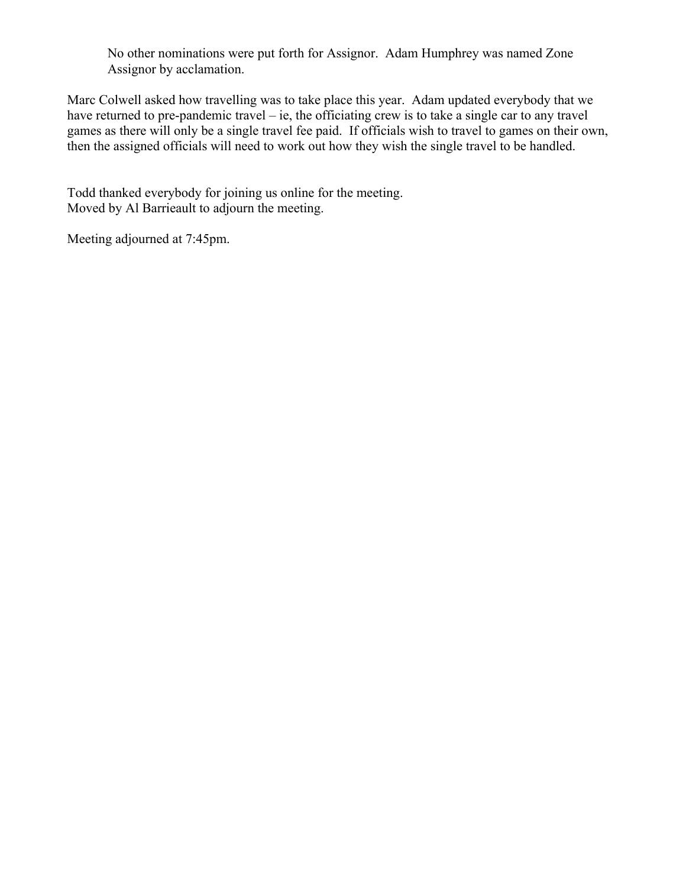No other nominations were put forth for Assignor. Adam Humphrey was named Zone Assignor by acclamation.

Marc Colwell asked how travelling was to take place this year. Adam updated everybody that we have returned to pre-pandemic travel – ie, the officiating crew is to take a single car to any travel games as there will only be a single travel fee paid. If officials wish to travel to games on their own, then the assigned officials will need to work out how they wish the single travel to be handled.

Todd thanked everybody for joining us online for the meeting. Moved by Al Barrieault to adjourn the meeting.

Meeting adjourned at 7:45pm.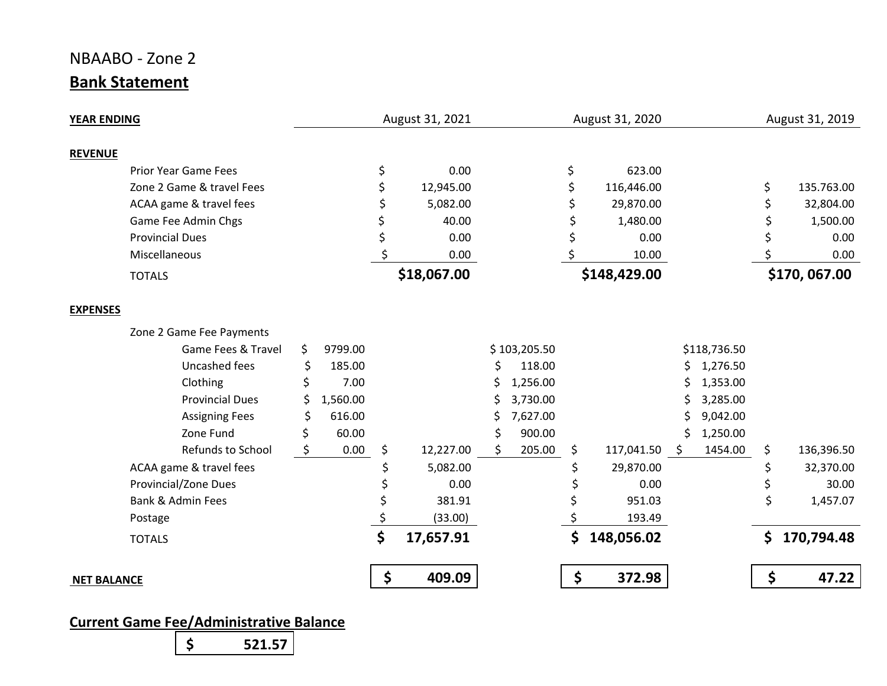# NBAABO ‐ Zone 2 **Bank Statement**

| <b>YEAR ENDING</b> |                             |     | August 31, 2021 |    |             |    | August 31, 2020 |    | August 31, 2019 |    |              |              |            |
|--------------------|-----------------------------|-----|-----------------|----|-------------|----|-----------------|----|-----------------|----|--------------|--------------|------------|
| <b>REVENUE</b>     |                             |     |                 |    |             |    |                 |    |                 |    |              |              |            |
|                    | <b>Prior Year Game Fees</b> |     |                 | \$ | 0.00        |    |                 | \$ | 623.00          |    |              |              |            |
|                    | Zone 2 Game & travel Fees   |     |                 |    | 12,945.00   |    |                 |    | 116,446.00      |    |              | \$           | 135.763.00 |
|                    | ACAA game & travel fees     |     |                 |    | 5,082.00    |    |                 |    | 29,870.00       |    |              |              | 32,804.00  |
|                    | Game Fee Admin Chgs         |     |                 |    | 40.00       |    |                 |    | 1,480.00        |    |              |              | 1,500.00   |
|                    | <b>Provincial Dues</b>      |     |                 |    | 0.00        |    |                 |    | 0.00            |    |              |              | 0.00       |
|                    | Miscellaneous               |     |                 |    | 0.00        |    |                 |    | 10.00           |    |              |              | 0.00       |
|                    | <b>TOTALS</b>               |     |                 |    | \$18,067.00 |    |                 |    | \$148,429.00    |    |              | \$170,067.00 |            |
|                    |                             |     |                 |    |             |    |                 |    |                 |    |              |              |            |
| <b>EXPENSES</b>    |                             |     |                 |    |             |    |                 |    |                 |    |              |              |            |
|                    | Zone 2 Game Fee Payments    |     |                 |    |             |    |                 |    |                 |    |              |              |            |
|                    | Game Fees & Travel          | \$  | 9799.00         |    |             |    | \$103,205.50    |    |                 |    | \$118,736.50 |              |            |
|                    | Uncashed fees               | \$  | 185.00          |    |             |    | 118.00          |    |                 | S. | 1,276.50     |              |            |
|                    | Clothing                    | \$. | 7.00            |    |             | S  | 1,256.00        |    |                 | S  | 1,353.00     |              |            |
|                    | <b>Provincial Dues</b>      |     | 1,560.00        |    |             |    | 3,730.00        |    |                 |    | 3,285.00     |              |            |
|                    | <b>Assigning Fees</b>       |     | 616.00          |    |             | s  | 7,627.00        |    |                 |    | 9,042.00     |              |            |
|                    | Zone Fund                   |     | 60.00           |    |             | \$ | 900.00          |    |                 | \$ | 1,250.00     |              |            |
|                    | Refunds to School           | Ś.  | 0.00            | \$ | 12,227.00   | Ś. | 205.00          | \$ | 117,041.50 \$   |    | 1454.00      | \$           | 136,396.50 |
|                    | ACAA game & travel fees     |     |                 |    | 5,082.00    |    |                 |    | 29,870.00       |    |              | \$           | 32,370.00  |
|                    | Provincial/Zone Dues        |     |                 |    | 0.00        |    |                 |    | 0.00            |    |              | \$           | 30.00      |
|                    | Bank & Admin Fees           |     |                 |    | 381.91      |    |                 |    | 951.03          |    |              | \$           | 1,457.07   |
|                    | Postage                     |     |                 |    | (33.00)     |    |                 |    | 193.49          |    |              |              |            |
|                    | <b>TOTALS</b>               |     |                 | \$ | 17,657.91   |    |                 | \$ | 148,056.02      |    |              | \$.          | 170,794.48 |
| <b>NET BALANCE</b> |                             |     |                 | \$ | 409.09      |    |                 | \$ | 372.98          |    |              | \$           | 47.22      |
|                    |                             |     |                 |    |             |    |                 |    |                 |    |              |              |            |

## **Current Game Fee/Administrative Balance**

 **\$ 521.57**